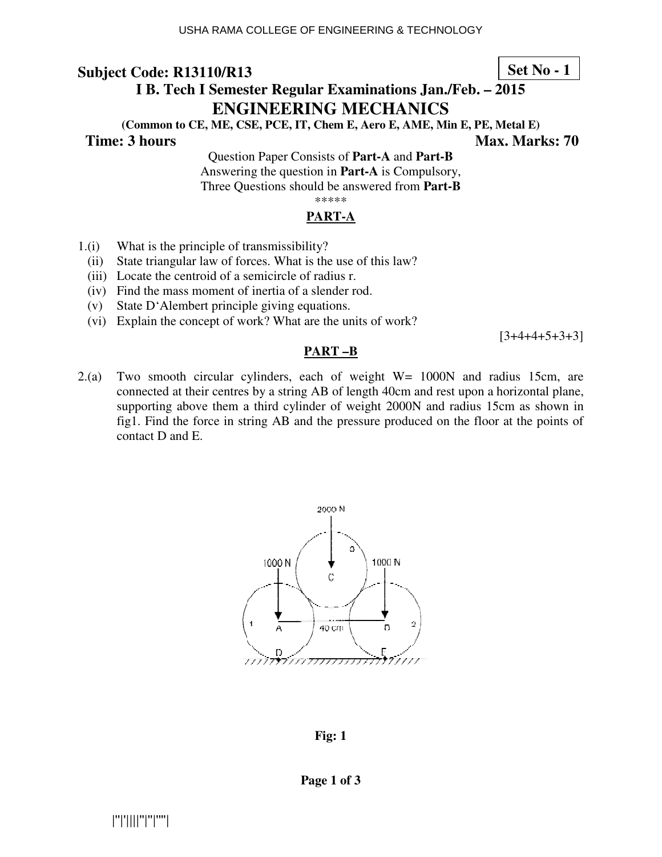#### **Set No - 1**

# **I B. Tech I Semester Regular Examinations Jan./Feb. – 2015 ENG GINEERING MECHANICS**

(Common to CE, ME, CSE, PCE, IT, Chem E, Aero E, AME, Min E, PE, Metal E)

#### **Time: 3 hours**

 **Ma Max. Marks: 70** 

Questio tion Paper Consists of **Part-A** and **Part-B** Answering the question in **Part-A** is Compulsory, Three Questions should be answered from Part-B \*\*\*\*\*

#### **PART-A**

- $1(i)$  What is the principle of transmissibility?
- (ii) State triangular law of forces. What is the use of this law?
- (iii) Locate the centroid of a semicircle of radius r.
- (iv) Find the mass moment of inertia of a slender rod.
- $(v)$  State D'Alembert principle giving equations.
- (vi) Explain the concept of work? What are the units of work?

 $[3+4+4+5+3+3]$ 

#### **PART –B**

 $2(a)$  Two smooth circular cylinders, each of weight  $W = 1000N$  and radius 15cm, are connected at their centres by a string AB of length 40cm and rest upon a horizontal plane, supporting above them a third cylinder of weight 2000N and radius 15cm as shown in fig1. Find the force in string AB and the pressure produced on the floor at the points of contact D and E.



**Fig: 1**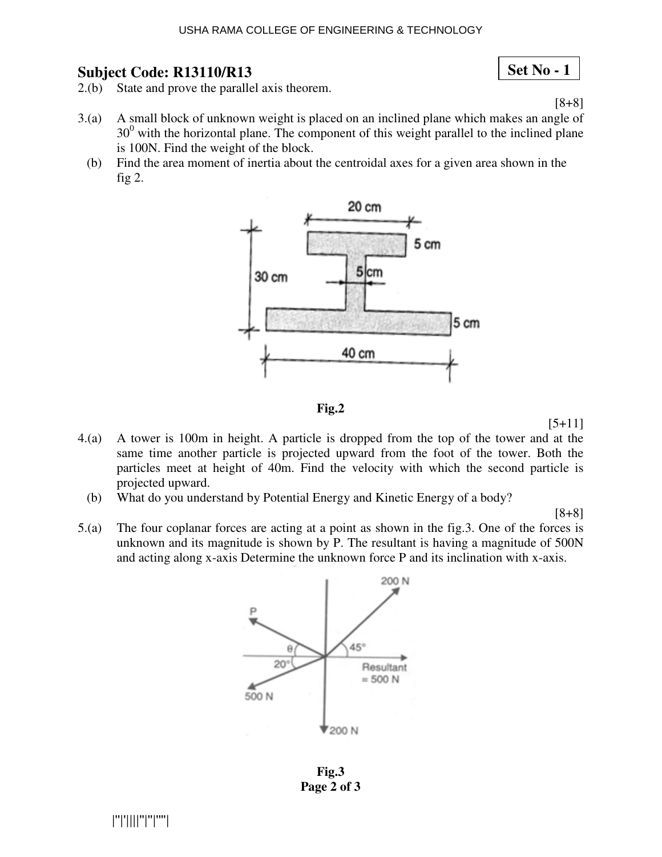#### USHA RAMA COLLEGE OF ENGINEERING & TECHNOLOGY

#### **Subject Code: R13110/R13**

**Set No - 1**

[8+8]

- 2.(b) State and prove the parallel axis theorem.
- 3.(a) A small block of unknown weight is placed on an inclined plane which makes an angle of  $30<sup>0</sup>$  with the horizontal plane. The component of this weight parallel to the inclined plane is 100N. Find the weight of the block.
	- (b) Find the area moment of inertia about the centroidal axes for a given area shown in the fig 2.



**Fig.2** 

 $[5+11]$ 

- 4.(a) A tower is 100m in height. A particle is dropped from the top of the tower and at the same time another particle is projected upward from the foot of the tower. Both the particles meet at height of 40m. Find the velocity with which the second particle is projected upward.
	- (b) What do you understand by Potential Energy and Kinetic Energy of a body?

[8+8]

5.(a) The four coplanar forces are acting at a point as shown in the fig.3. One of the forces is unknown and its magnitude is shown by P. The resultant is having a magnitude of 500N and acting along x-axis Determine the unknown force P and its inclination with x-axis.



**Fig.3 Page 2 of 3**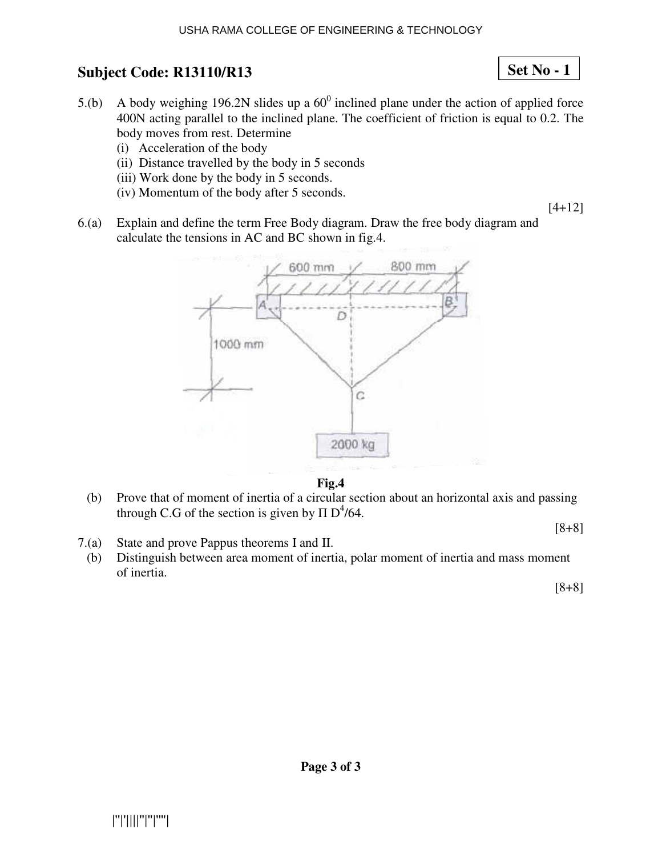- 5.(b) A body weighing 196.2N slides up a  $60^{\circ}$  inclined plane under the action of applied force 400N acting parallel to the inclined plane. The coefficient of friction is equal to 0.2. The body moves from rest. Determine
	- (i) Acceleration of the body
	- (ii) Distance travelled by the body in 5 seconds
	- (iii) Work done by the body in 5 seconds.
	- (iv) Momentum of the bo body after 5 seconds.
- 6.(a) Explain and define the term Free Body diagram. Draw the free body diagram and calculate the tensions in  $AC$  and  $BC$  shown in fig.4.



**Fig.4** 

- (b) Prove that of moment of inertia of a circular section about an horizontal axis and passing through C.G of the section is given by  $\Pi D^4/64$ .
	- [8+8]

- 7.(a) State and prove Pappus theorems I and II.
	- (b) Distinguish between area moment of inertia, polar moment of inertia and mass moment of inertia.

[8+8]

[4+12]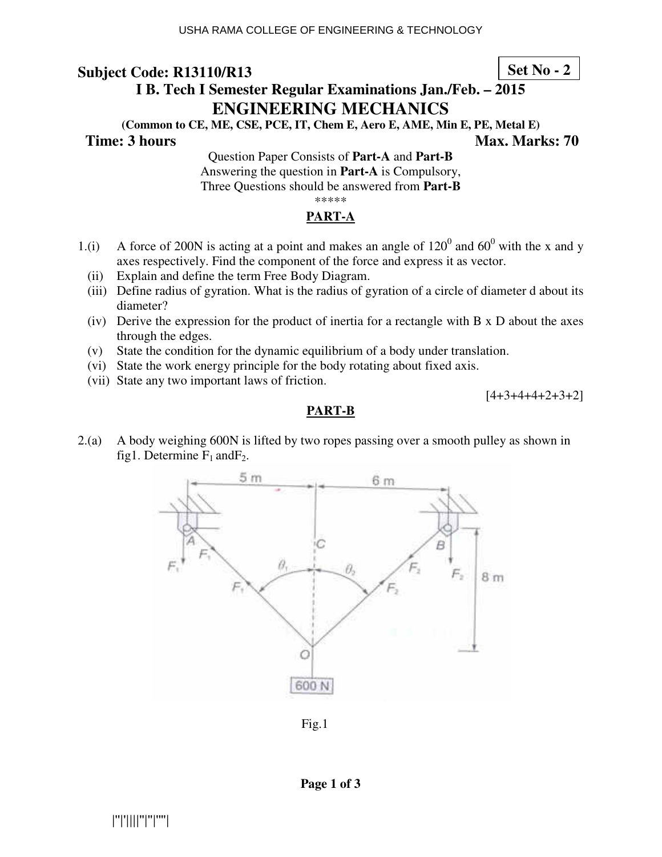#### **Set No - 2**

# **I B. Tech I Semester Regular Examinations Jan./Feb. – 2015 ENGINEERING MECHANICS**

**(Common to CE, ME, CSE, PCE, IT, Chem E, Aero E, AME, Min E, PE, Metal E)** 

**Time: 3 hours** Max. Marks: 70

Question Paper Consists of **Part-A** and **Part-B** Answering the question in **Part-A** is Compulsory, Three Questions should be answered from **Part-B** \*\*\*\*\*

#### **PART-A**

- 1.(i) A force of 200N is acting at a point and makes an angle of  $120^0$  and  $60^0$  with the x and y axes respectively. Find the component of the force and express it as vector.
	- (ii) Explain and define the term Free Body Diagram.
	- (iii) Define radius of gyration. What is the radius of gyration of a circle of diameter d about its diameter?
	- (iv) Derive the expression for the product of inertia for a rectangle with B x D about the axes through the edges.
	- (v) State the condition for the dynamic equilibrium of a body under translation.
	- (vi) State the work energy principle for the body rotating about fixed axis.
	- (vii) State any two important laws of friction.

 $[4+3+4+4+2+3+2]$ 

#### **PART-B**

2.(a) A body weighing 600N is lifted by two ropes passing over a smooth pulley as shown in fig1. Determine  $F_1$  and  $F_2$ .



Fig.1

**Page 1 of 3**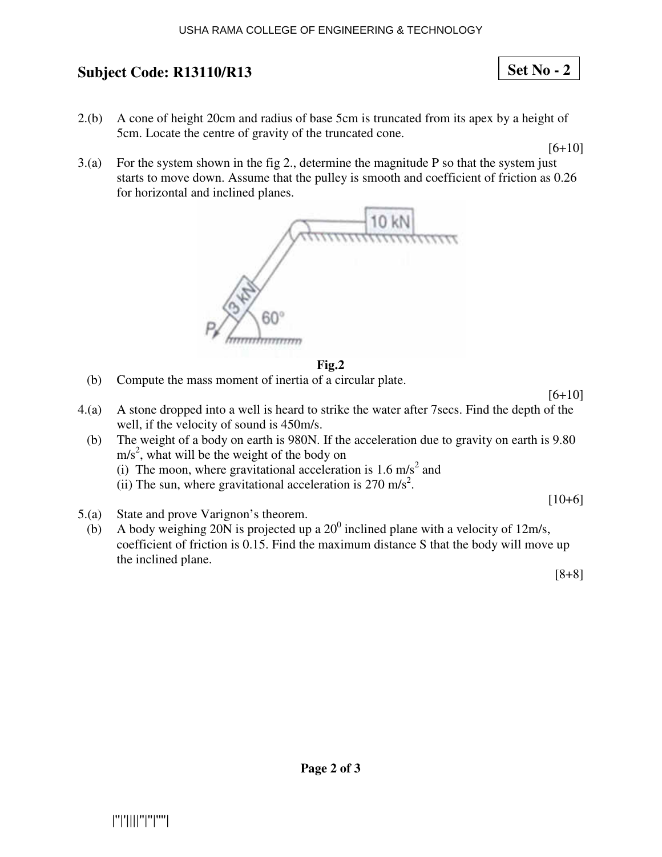2.(b) A cone of height 20cm and radius of base 5cm is truncated from its apex by a height of 5cm. Locate the centre of gravity of the truncated cone.

 $[6+10]$ 

**Set No - 2**

3.(a) For the system shown in the fig 2., determine the magnitude P so that the system just starts to move down. Assume that the pulley is smooth and coefficient of friction as 0.26 for horizontal and inclined planes.



#### **Fig.2**

- (b) Compute the mass moment of inertia of a circular plate.
- 4.(a) A stone dropped into a well is heard to strike the water after 7secs. Find the depth of the well, if the velocity of sound is 450m/s.
	- (b) The weight of a body on earth is 980N. If the acceleration due to gravity on earth is 9.80  $m/s<sup>2</sup>$ , what will be the weight of the body on
		- (i) The moon, where gravitational acceleration is  $1.6 \text{ m/s}^2$  and
		- (ii) The sun, where gravitational acceleration is  $270 \text{ m/s}^2$ .
- 5.(a) State and prove Varignon's theorem.
- (b) A body weighing 20N is projected up a  $20^0$  inclined plane with a velocity of 12m/s, coefficient of friction is 0.15. Find the maximum distance S that the body will move up the inclined plane.

[8+8]

 $[10+6]$ 

 $[6+10]$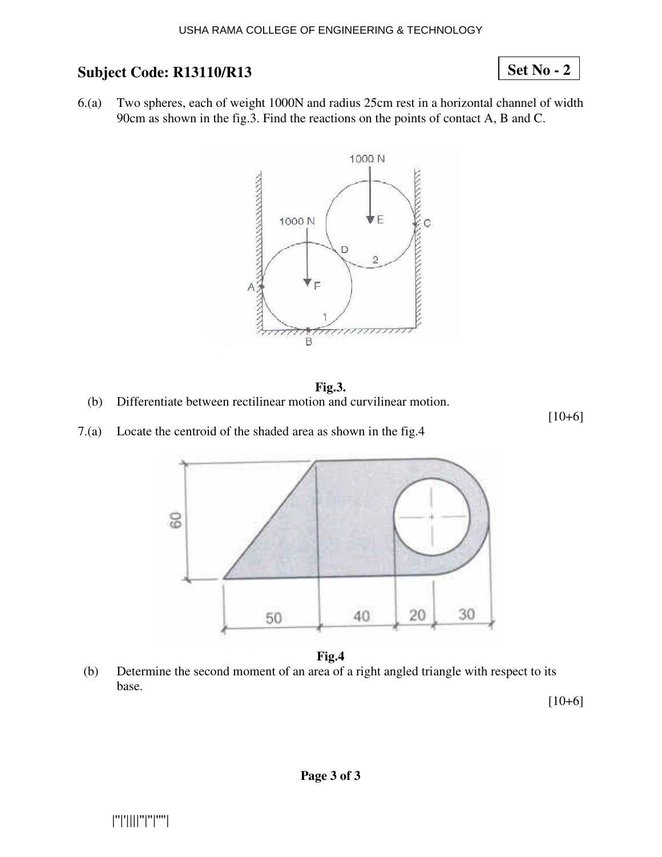## **Set No - 2**

6.(a) Two spheres, each of weight 1000N and radius 25cm rest in a horizontal channel of width 90cm as shown in the fig.3. Find the reactions on the points of contact A, B and C.



#### **Fig.3.**

(b) Differentiate between rectilinear motion and curvilinear motion.

[10+6]

7.(a) Locate the centroid of the shaded area as shown in the fig.4



**Fig.4** 

(b) Determine the second moment of an area of a right angled triangle with respect to its base.

 $[10+6]$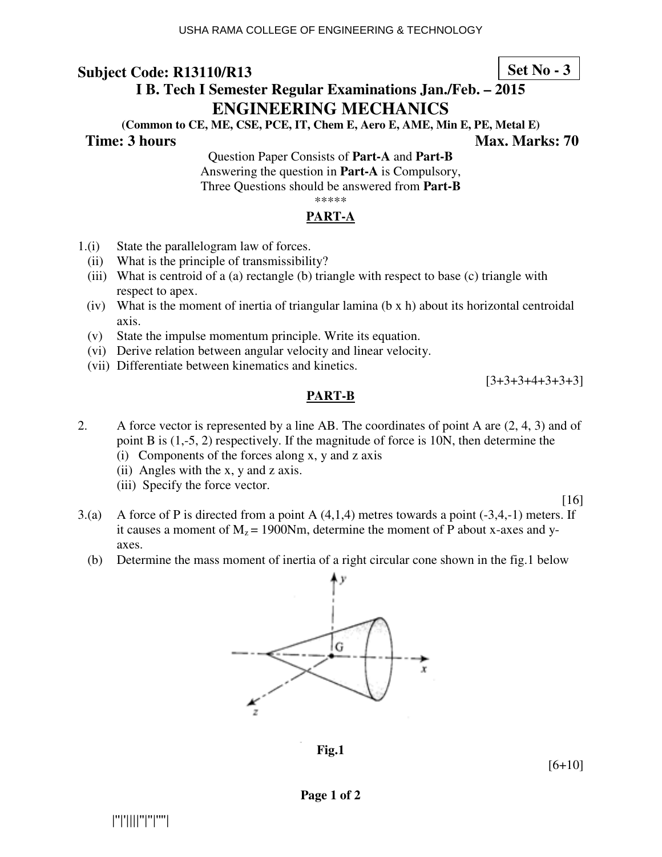# **I B. Tech I Semester Regular Examinations Jan./Feb. – 2015 ENGINEERING MECHANICS**

**(Common to CE, ME, CSE, PCE, IT, Chem E, Aero E, AME, Min E, PE, Metal E)** 

**Time: 3 hours** Max. Marks: 70

**Set No - 3**

Question Paper Consists of **Part-A** and **Part-B** Answering the question in **Part-A** is Compulsory, Three Questions should be answered from **Part-B** \*\*\*\*\*

#### **PART-A**

- 1.(i) State the parallelogram law of forces.
	- (ii) What is the principle of transmissibility?
	- (iii) What is centroid of a (a) rectangle (b) triangle with respect to base (c) triangle with respect to apex.
	- (iv) What is the moment of inertia of triangular lamina (b  $x$  h) about its horizontal centroidal axis.
	- (v) State the impulse momentum principle. Write its equation.
	- (vi) Derive relation between angular velocity and linear velocity.
	- (vii) Differentiate between kinematics and kinetics.

 $[3+3+3+4+3+3+3]$ 

#### **PART-B**

- 2. A force vector is represented by a line AB. The coordinates of point A are (2, 4, 3) and of point B is (1,-5, 2) respectively. If the magnitude of force is 10N, then determine the
	- (i) Components of the forces along x, y and z axis
	- (ii) Angles with the x, y and z axis.
	- (iii) Specify the force vector.

[16]

- 3.(a) A force of P is directed from a point A (4,1,4) metres towards a point (-3,4,-1) meters. If it causes a moment of  $M_z$  = 1900Nm, determine the moment of P about x-axes and yaxes.
	- (b) Determine the mass moment of inertia of a right circular cone shown in the fig.1 below



**Fig.1** 

[6+10]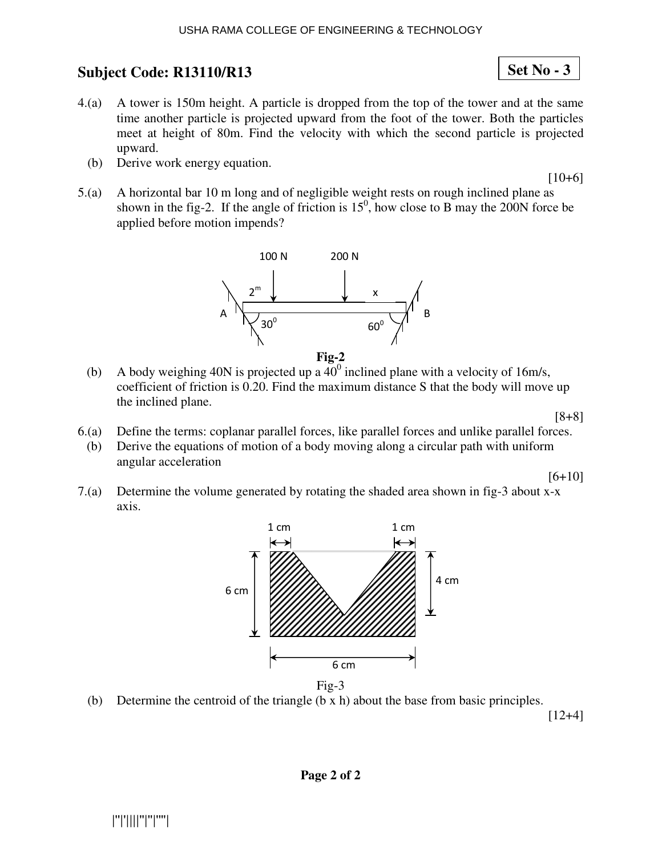- 4.(a) A tower is 150m height. A particle is dropped from the top of the tower and at the same time another particle is projected upward from the foot of the tower. Both the particles meet at height of 80m. Find the velocity with which the second particle is projected upward.
	- (b) Derive work energy equation.
- 5.(a) A horizontal bar 10 m long and of negligible weight rests on rough inclined plane as shown in the fig-2. If the angle of friction is  $15^0$ , how close to B may the 200N force be applied before motion impends?



- (b) A body weighing 40N is projected up a  $40^0$  inclined plane with a velocity of 16m/s, coefficient of friction is 0.20. Find the maximum distance S that the body will move up the inclined plane.
	- [8+8]

[6+10]

- 6.(a) Define the terms: coplanar parallel forces, like parallel forces and unlike parallel forces. (b) Derive the equations of motion of a body moving along a circular path with uniform angular acceleration
- 7.(a) Determine the volume generated by rotating the shaded area shown in fig-3 about x-x axis.



Fig-3

(b) Determine the centroid of the triangle  $(b \times h)$  about the base from basic principles.

[12+4]

# |''|'||||''|''|''''|

**Set No - 3**

 $[10+6]$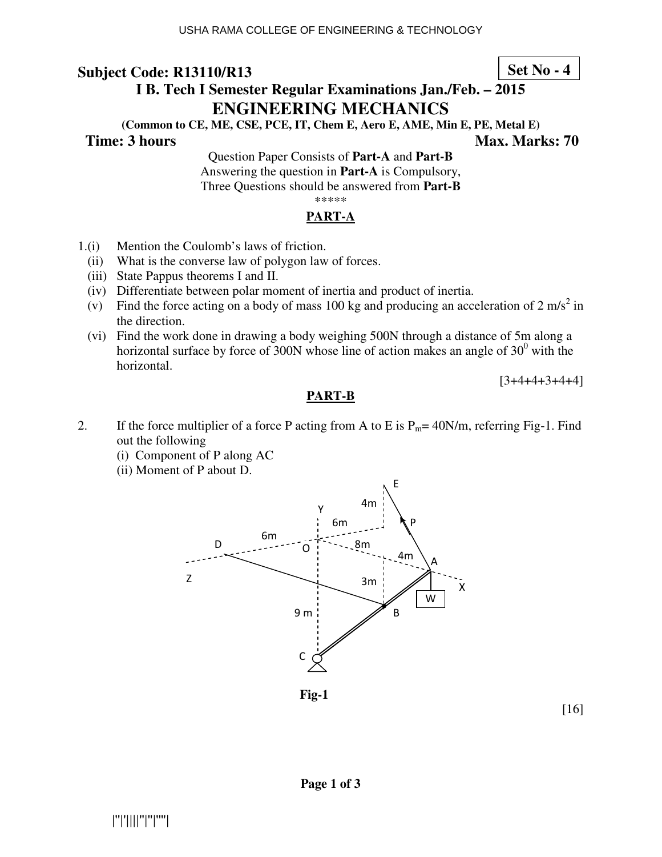#### **Set No - 4**

# **I B. Tech I Semester Regular Examinations Jan./Feb. – 2015 ENGINEERING MECHANICS**

**(Common to CE, ME, CSE, PCE, IT, Chem E, Aero E, AME, Min E, PE, Metal E)** 

**Time: 3 hours** Max. Marks: 70

Question Paper Consists of **Part-A** and **Part-B** Answering the question in **Part-A** is Compulsory, Three Questions should be answered from **Part-B** \*\*\*\*\*

#### **PART-A**

- 1.(i) Mention the Coulomb's laws of friction.
	- (ii) What is the converse law of polygon law of forces.
	- (iii) State Pappus theorems I and II.
	- (iv) Differentiate between polar moment of inertia and product of inertia.
- (v) Find the force acting on a body of mass 100 kg and producing an acceleration of 2 m/s<sup>2</sup> in the direction.
	- (vi) Find the work done in drawing a body weighing 500N through a distance of 5m along a horizontal surface by force of 300N whose line of action makes an angle of  $30<sup>0</sup>$  with the horizontal.

 $[3+4+4+3+4+4]$ 

#### **PART-B**

- 2. If the force multiplier of a force P acting from A to E is  $P_m$  = 40N/m, referring Fig-1. Find out the following
	- (i) Component of P along AC
	- (ii) Moment of P about D.



**Fig-1**

[16]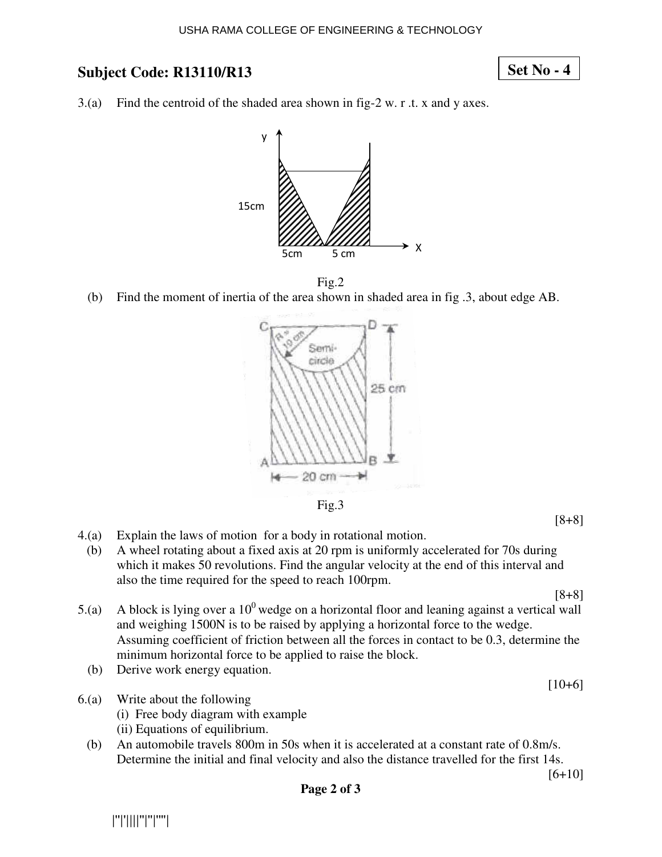### **Set No - 4**

3.(a) Find the centroid of the shaded area shown in fig-2 w. r .t. x and y axes.





(b) Find the moment of inertia of the area shown in shaded area in fig .3, about edge AB.



Fig.3

- 4.(a) Explain the laws of motion for a body in rotational motion.
- (b) A wheel rotating about a fixed axis at 20 rpm is uniformly accelerated for 70s during which it makes 50 revolutions. Find the angular velocity at the end of this interval and also the time required for the speed to reach 100rpm.

[8+8]

- 5.(a) A block is lying over a  $10^0$  wedge on a horizontal floor and leaning against a vertical wall and weighing 1500N is to be raised by applying a horizontal force to the wedge. Assuming coefficient of friction between all the forces in contact to be 0.3, determine the minimum horizontal force to be applied to raise the block.
	- (b) Derive work energy equation.
- 6.(a) Write about the following
	- (i) Free body diagram with example
	- (ii) Equations of equilibrium.
	- (b) An automobile travels 800m in 50s when it is accelerated at a constant rate of 0.8m/s. Determine the initial and final velocity and also the distance travelled for the first 14s.

 $[10+6]$